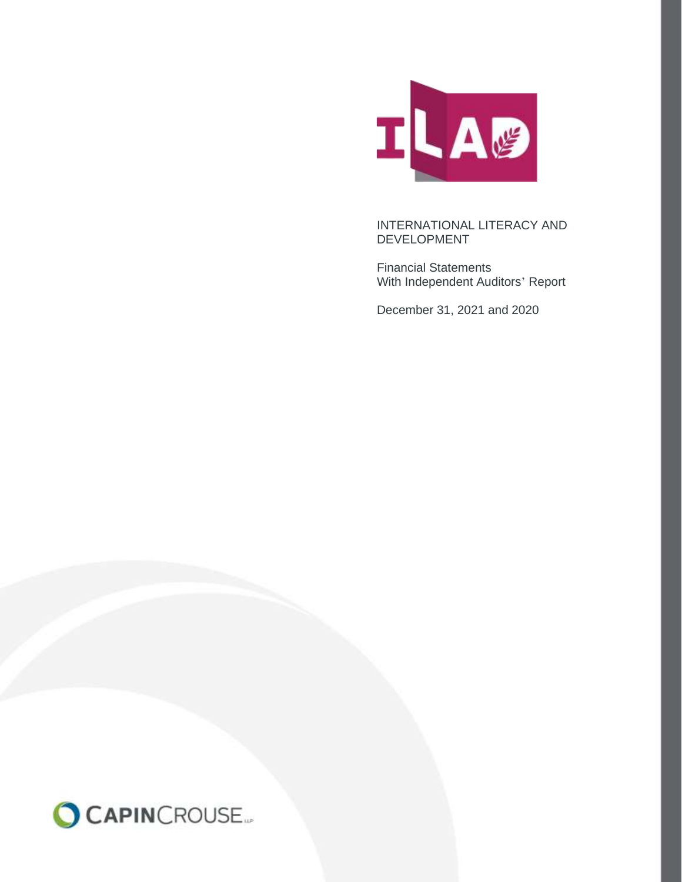

Financial Statements With Independent Auditors' Report

December 31, 2021 and 2020

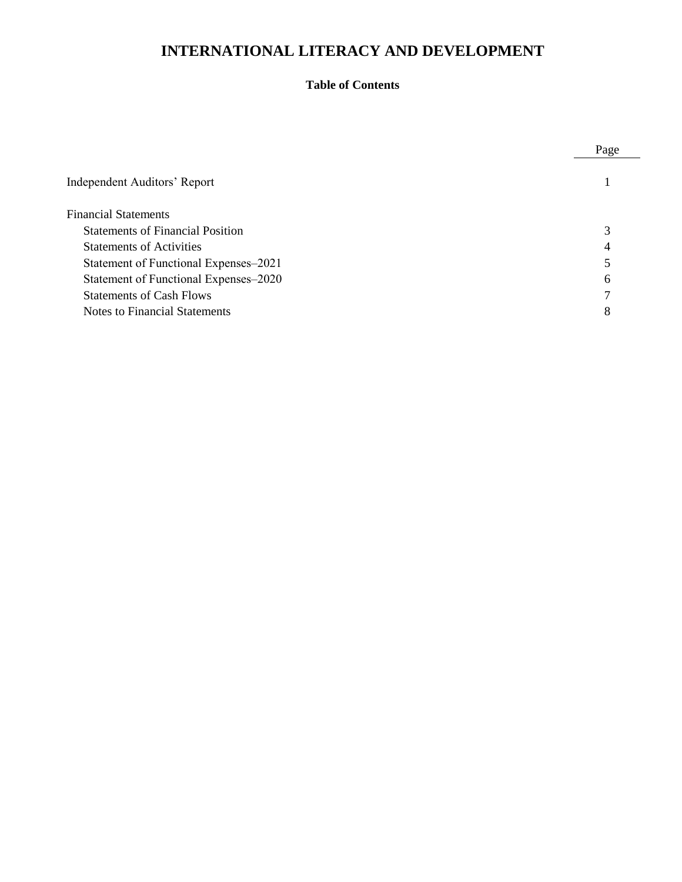## **Table of Contents**

|                                         | Page |
|-----------------------------------------|------|
| Independent Auditors' Report            |      |
| <b>Financial Statements</b>             |      |
| <b>Statements of Financial Position</b> |      |
| <b>Statements of Activities</b>         |      |
| Statement of Functional Expenses–2021   |      |
| Statement of Functional Expenses-2020   | h    |
| <b>Statements of Cash Flows</b>         |      |
| Notes to Financial Statements           | 8    |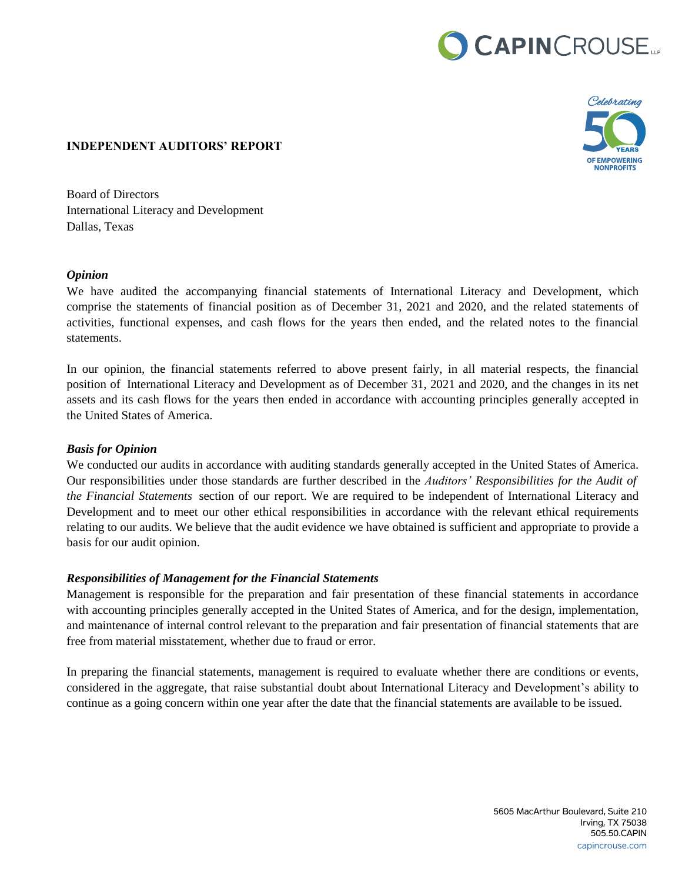# CAPINCROUSE.



#### **INDEPENDENT AUDITORS' REPORT**

Board of Directors International Literacy and Development Dallas, Texas

#### *Opinion*

We have audited the accompanying financial statements of International Literacy and Development, which comprise the statements of financial position as of December 31, 2021 and 2020, and the related statements of activities, functional expenses, and cash flows for the years then ended, and the related notes to the financial statements.

In our opinion, the financial statements referred to above present fairly, in all material respects, the financial position of International Literacy and Development as of December 31, 2021 and 2020, and the changes in its net assets and its cash flows for the years then ended in accordance with accounting principles generally accepted in the United States of America.

## *Basis for Opinion*

We conducted our audits in accordance with auditing standards generally accepted in the United States of America. Our responsibilities under those standards are further described in the *Auditors' Responsibilities for the Audit of the Financial Statements* section of our report. We are required to be independent of International Literacy and Development and to meet our other ethical responsibilities in accordance with the relevant ethical requirements relating to our audits. We believe that the audit evidence we have obtained is sufficient and appropriate to provide a basis for our audit opinion.

## *Responsibilities of Management for the Financial Statements*

Management is responsible for the preparation and fair presentation of these financial statements in accordance with accounting principles generally accepted in the United States of America, and for the design, implementation, and maintenance of internal control relevant to the preparation and fair presentation of financial statements that are free from material misstatement, whether due to fraud or error.

In preparing the financial statements, management is required to evaluate whether there are conditions or events, considered in the aggregate, that raise substantial doubt about International Literacy and Development's ability to continue as a going concern within one year after the date that the financial statements are available to be issued.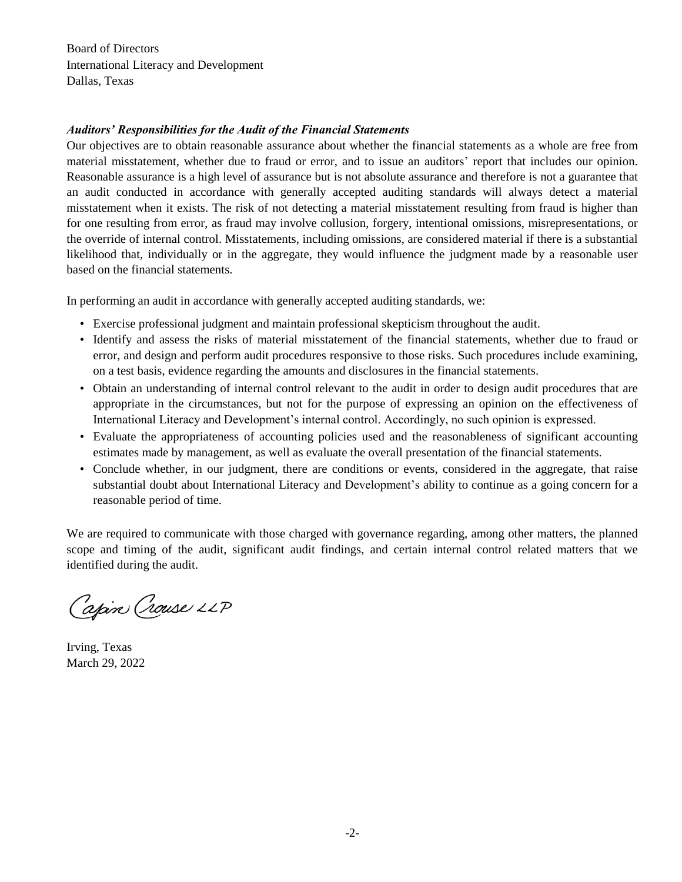Board of Directors International Literacy and Development Dallas, Texas

#### *Auditors' Responsibilities for the Audit of the Financial Statements*

Our objectives are to obtain reasonable assurance about whether the financial statements as a whole are free from material misstatement, whether due to fraud or error, and to issue an auditors' report that includes our opinion. Reasonable assurance is a high level of assurance but is not absolute assurance and therefore is not a guarantee that an audit conducted in accordance with generally accepted auditing standards will always detect a material misstatement when it exists. The risk of not detecting a material misstatement resulting from fraud is higher than for one resulting from error, as fraud may involve collusion, forgery, intentional omissions, misrepresentations, or the override of internal control. Misstatements, including omissions, are considered material if there is a substantial likelihood that, individually or in the aggregate, they would influence the judgment made by a reasonable user based on the financial statements.

In performing an audit in accordance with generally accepted auditing standards, we:

- Exercise professional judgment and maintain professional skepticism throughout the audit.
- Identify and assess the risks of material misstatement of the financial statements, whether due to fraud or error, and design and perform audit procedures responsive to those risks. Such procedures include examining, on a test basis, evidence regarding the amounts and disclosures in the financial statements.
- Obtain an understanding of internal control relevant to the audit in order to design audit procedures that are appropriate in the circumstances, but not for the purpose of expressing an opinion on the effectiveness of International Literacy and Development's internal control. Accordingly, no such opinion is expressed.
- Evaluate the appropriateness of accounting policies used and the reasonableness of significant accounting estimates made by management, as well as evaluate the overall presentation of the financial statements.
- Conclude whether, in our judgment, there are conditions or events, considered in the aggregate, that raise substantial doubt about International Literacy and Development's ability to continue as a going concern for a reasonable period of time.

We are required to communicate with those charged with governance regarding, among other matters, the planned scope and timing of the audit, significant audit findings, and certain internal control related matters that we identified during the audit.

Capin Crouse LLP

Irving, Texas March 29, 2022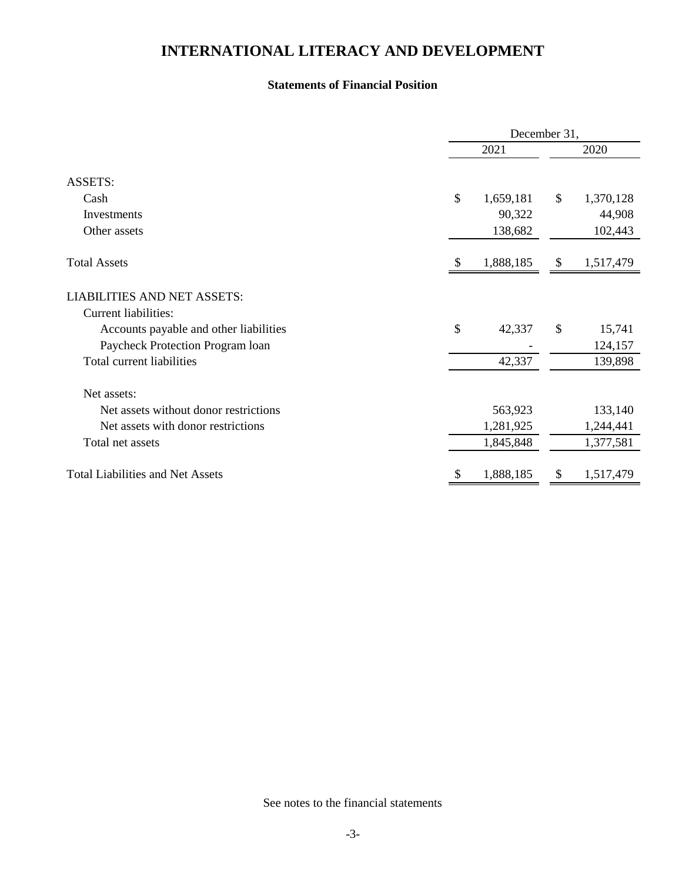#### **Statements of Financial Position**

|                                         | December 31,    |    |           |  |  |  |  |  |
|-----------------------------------------|-----------------|----|-----------|--|--|--|--|--|
|                                         | 2021            |    | 2020      |  |  |  |  |  |
| <b>ASSETS:</b>                          |                 |    |           |  |  |  |  |  |
| Cash                                    | \$<br>1,659,181 | \$ | 1,370,128 |  |  |  |  |  |
| Investments                             | 90,322          |    | 44,908    |  |  |  |  |  |
| Other assets                            | 138,682         |    | 102,443   |  |  |  |  |  |
| <b>Total Assets</b>                     | 1,888,185       | \$ | 1,517,479 |  |  |  |  |  |
| <b>LIABILITIES AND NET ASSETS:</b>      |                 |    |           |  |  |  |  |  |
| <b>Current liabilities:</b>             |                 |    |           |  |  |  |  |  |
| Accounts payable and other liabilities  | \$<br>42,337    | \$ | 15,741    |  |  |  |  |  |
| Paycheck Protection Program loan        |                 |    | 124,157   |  |  |  |  |  |
| Total current liabilities               | 42,337          |    | 139,898   |  |  |  |  |  |
| Net assets:                             |                 |    |           |  |  |  |  |  |
| Net assets without donor restrictions   | 563,923         |    | 133,140   |  |  |  |  |  |
| Net assets with donor restrictions      | 1,281,925       |    | 1,244,441 |  |  |  |  |  |
| Total net assets                        | 1,845,848       |    | 1,377,581 |  |  |  |  |  |
| <b>Total Liabilities and Net Assets</b> | \$<br>1,888,185 | \$ | 1,517,479 |  |  |  |  |  |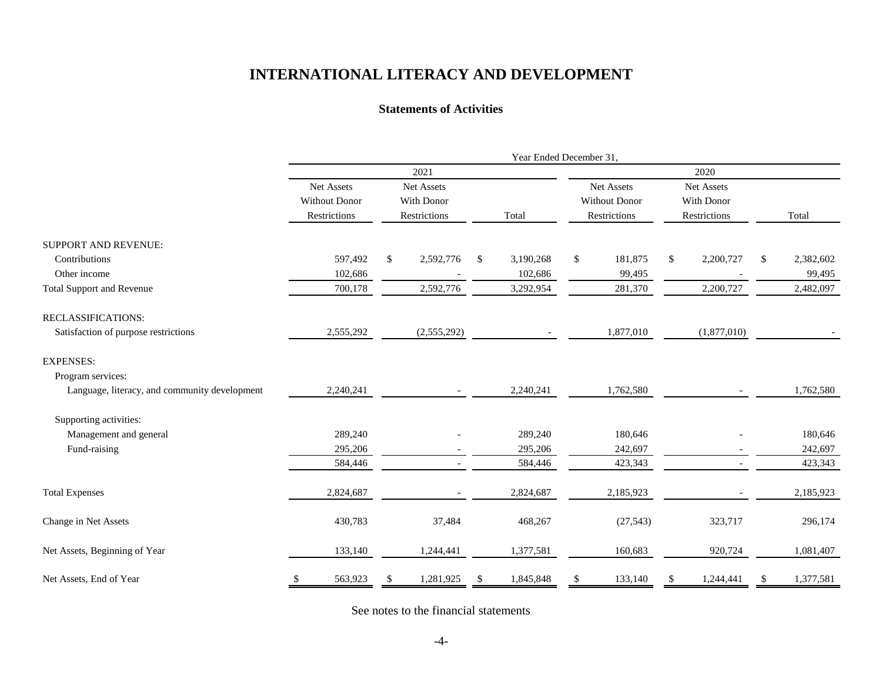#### **Statements of Activities**

|                                               |                          | Year Ended December 31, |              |     |           |            |                      |            |              |               |           |  |
|-----------------------------------------------|--------------------------|-------------------------|--------------|-----|-----------|------------|----------------------|------------|--------------|---------------|-----------|--|
|                                               |                          |                         | 2021         |     |           | 2020       |                      |            |              |               |           |  |
|                                               | Net Assets<br>Net Assets |                         |              |     |           | Net Assets |                      | Net Assets |              |               |           |  |
|                                               | <b>Without Donor</b>     |                         | With Donor   |     |           |            | <b>Without Donor</b> | With Donor |              |               |           |  |
|                                               | Restrictions             |                         | Restrictions |     | Total     |            | Restrictions         |            | Restrictions |               | Total     |  |
| SUPPORT AND REVENUE:                          |                          |                         |              |     |           |            |                      |            |              |               |           |  |
| Contributions                                 | 597,492                  | \$                      | 2,592,776    | -S  | 3,190,268 | \$         | 181,875              | \$         | 2,200,727    | \$            | 2,382,602 |  |
| Other income                                  | 102,686                  |                         |              |     | 102,686   |            | 99,495               |            |              |               | 99,495    |  |
| <b>Total Support and Revenue</b>              | 700,178                  |                         | 2,592,776    |     | 3,292,954 |            | 281,370              |            | 2,200,727    |               | 2,482,097 |  |
| RECLASSIFICATIONS:                            |                          |                         |              |     |           |            |                      |            |              |               |           |  |
| Satisfaction of purpose restrictions          | 2,555,292                |                         | (2,555,292)  |     |           |            | 1,877,010            |            | (1,877,010)  |               |           |  |
| <b>EXPENSES:</b>                              |                          |                         |              |     |           |            |                      |            |              |               |           |  |
| Program services:                             |                          |                         |              |     |           |            |                      |            |              |               |           |  |
| Language, literacy, and community development | 2,240,241                |                         |              |     | 2,240,241 |            | 1,762,580            |            |              |               | 1,762,580 |  |
| Supporting activities:                        |                          |                         |              |     |           |            |                      |            |              |               |           |  |
| Management and general                        | 289,240                  |                         |              |     | 289,240   |            | 180,646              |            |              |               | 180,646   |  |
| Fund-raising                                  | 295,206                  |                         |              |     | 295,206   |            | 242,697              |            |              |               | 242,697   |  |
|                                               | 584,446                  |                         |              |     | 584,446   |            | 423,343              |            |              |               | 423,343   |  |
| <b>Total Expenses</b>                         | 2,824,687                |                         |              |     | 2,824,687 |            | 2,185,923            |            |              |               | 2,185,923 |  |
| Change in Net Assets                          | 430,783                  |                         | 37,484       |     | 468,267   |            | (27, 543)            |            | 323,717      |               | 296,174   |  |
| Net Assets, Beginning of Year                 | 133,140                  |                         | 1,244,441    |     | 1,377,581 |            | 160,683              |            | 920,724      |               | 1,081,407 |  |
| Net Assets, End of Year                       | 563,923                  | \$                      | 1,281,925    | \$. | 1,845,848 | \$.        | 133,140              | S          | 1,244,441    | <sup>\$</sup> | 1,377,581 |  |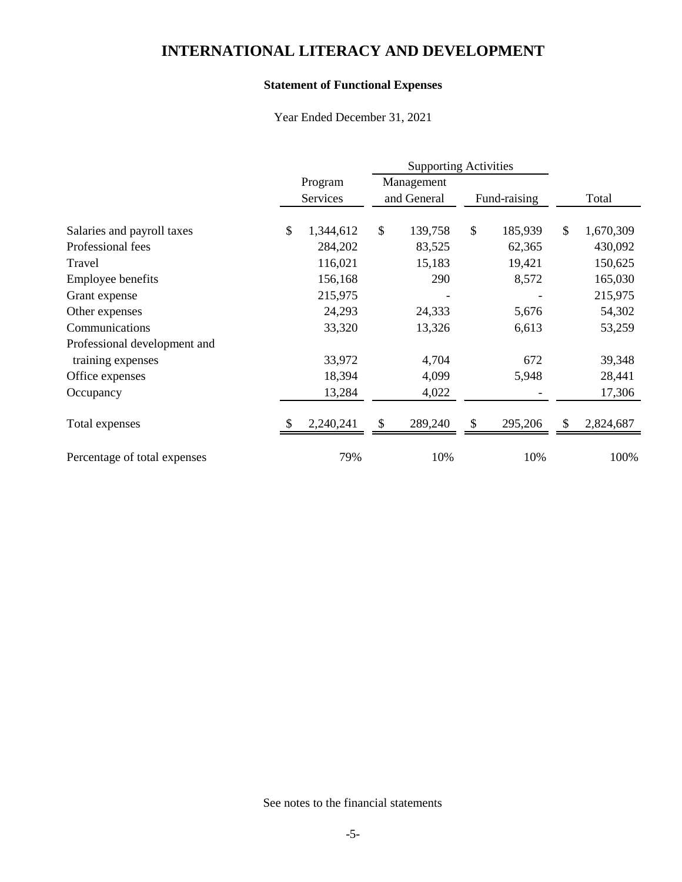## **Statement of Functional Expenses**

Year Ended December 31, 2021

|                              |                 | <b>Supporting Activities</b> |            |              |         |    |           |  |  |
|------------------------------|-----------------|------------------------------|------------|--------------|---------|----|-----------|--|--|
|                              | Program         |                              | Management |              |         |    |           |  |  |
|                              | Services        | and General                  |            | Fund-raising |         |    | Total     |  |  |
| Salaries and payroll taxes   | \$<br>1,344,612 | $\mathcal{S}$                | 139,758    | \$           | 185,939 | \$ | 1,670,309 |  |  |
|                              |                 |                              |            |              |         |    |           |  |  |
| Professional fees            | 284,202         |                              | 83,525     |              | 62,365  |    | 430,092   |  |  |
| Travel                       | 116,021         |                              | 15,183     |              | 19,421  |    | 150,625   |  |  |
| Employee benefits            | 156,168         |                              | 290        |              | 8,572   |    | 165,030   |  |  |
| Grant expense                | 215,975         |                              |            |              |         |    | 215,975   |  |  |
| Other expenses               | 24,293          |                              | 24,333     |              | 5,676   |    | 54,302    |  |  |
| Communications               | 33,320          |                              | 13,326     |              | 6,613   |    | 53,259    |  |  |
| Professional development and |                 |                              |            |              |         |    |           |  |  |
| training expenses            | 33,972          |                              | 4,704      |              | 672     |    | 39,348    |  |  |
| Office expenses              | 18,394          |                              | 4,099      |              | 5,948   |    | 28,441    |  |  |
| Occupancy                    | 13,284          |                              | 4,022      |              |         |    | 17,306    |  |  |
| Total expenses               | 2,240,241       | \$                           | 289,240    | \$           | 295,206 | \$ | 2,824,687 |  |  |
| Percentage of total expenses | 79%             |                              | 10%        |              | 10%     |    | 100%      |  |  |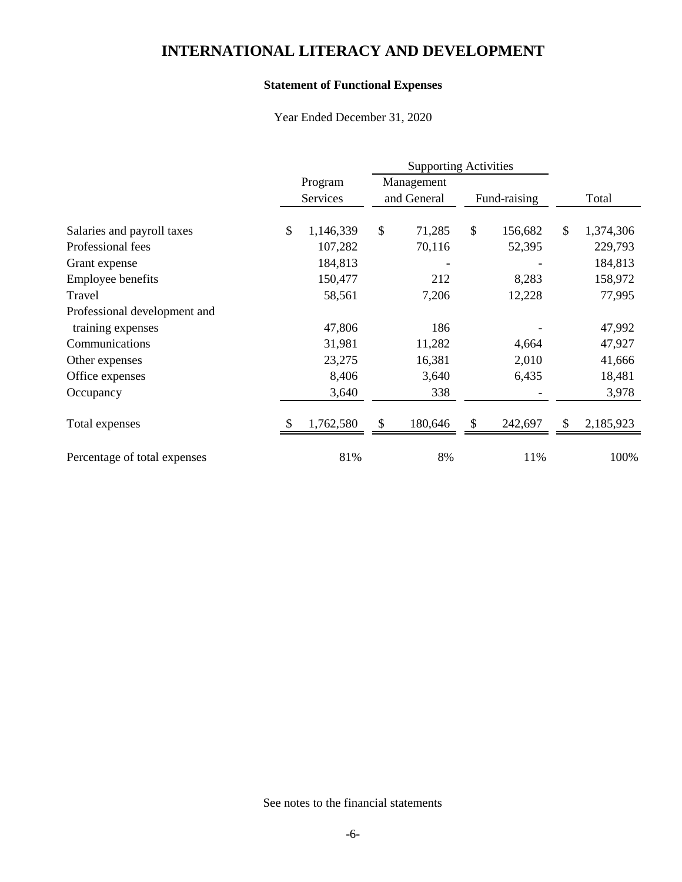## **Statement of Functional Expenses**

Year Ended December 31, 2020

|                              |                 |             | <b>Supporting Activities</b> |              |         |    |           |
|------------------------------|-----------------|-------------|------------------------------|--------------|---------|----|-----------|
|                              | Program         |             | Management                   |              |         |    |           |
|                              | Services        | and General |                              | Fund-raising |         |    | Total     |
| Salaries and payroll taxes   | \$<br>1,146,339 | \$          | 71,285                       | \$           | 156,682 | \$ | 1,374,306 |
|                              |                 |             |                              |              |         |    |           |
| Professional fees            | 107,282         |             | 70,116                       |              | 52,395  |    | 229,793   |
| Grant expense                | 184,813         |             |                              |              |         |    | 184,813   |
| Employee benefits            | 150,477         |             | 212                          |              | 8,283   |    | 158,972   |
| Travel                       | 58,561          |             | 7,206                        |              | 12,228  |    | 77,995    |
| Professional development and |                 |             |                              |              |         |    |           |
| training expenses            | 47,806          |             | 186                          |              |         |    | 47,992    |
| Communications               | 31,981          |             | 11,282                       |              | 4,664   |    | 47,927    |
| Other expenses               | 23,275          |             | 16,381                       |              | 2,010   |    | 41,666    |
| Office expenses              | 8,406           |             | 3,640                        |              | 6,435   |    | 18,481    |
| Occupancy                    | 3,640           |             | 338                          |              |         |    | 3,978     |
| Total expenses               | 1,762,580       | \$          | 180,646                      | S            | 242,697 | \$ | 2,185,923 |
| Percentage of total expenses | 81%             |             | 8%                           |              | 11%     |    | 100%      |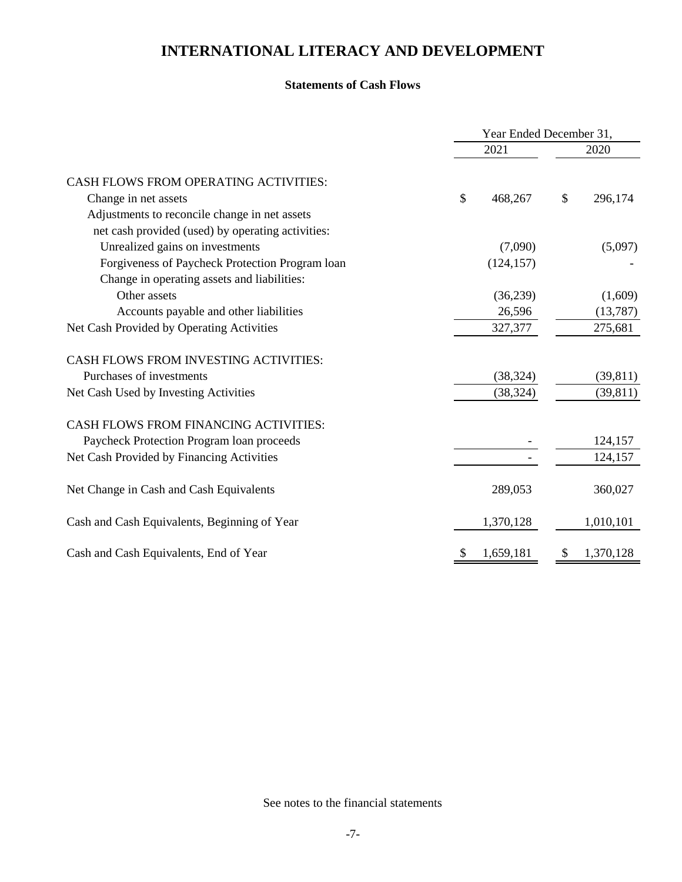#### **Statements of Cash Flows**

|                                                   | Year Ended December 31, |            |               |           |  |  |  |
|---------------------------------------------------|-------------------------|------------|---------------|-----------|--|--|--|
|                                                   |                         | 2021       |               |           |  |  |  |
| CASH FLOWS FROM OPERATING ACTIVITIES:             |                         |            |               |           |  |  |  |
| Change in net assets                              | \$                      | 468,267    | $\mathcal{S}$ | 296,174   |  |  |  |
| Adjustments to reconcile change in net assets     |                         |            |               |           |  |  |  |
| net cash provided (used) by operating activities: |                         |            |               |           |  |  |  |
| Unrealized gains on investments                   |                         | (7,090)    |               | (5,097)   |  |  |  |
| Forgiveness of Paycheck Protection Program loan   |                         | (124, 157) |               |           |  |  |  |
| Change in operating assets and liabilities:       |                         |            |               |           |  |  |  |
| Other assets                                      |                         | (36,239)   |               | (1,609)   |  |  |  |
| Accounts payable and other liabilities            |                         | 26,596     |               | (13,787)  |  |  |  |
| Net Cash Provided by Operating Activities         |                         | 327,377    |               | 275,681   |  |  |  |
| <b>CASH FLOWS FROM INVESTING ACTIVITIES:</b>      |                         |            |               |           |  |  |  |
| Purchases of investments                          |                         | (38, 324)  |               | (39, 811) |  |  |  |
| Net Cash Used by Investing Activities             |                         | (38, 324)  |               | (39, 811) |  |  |  |
| CASH FLOWS FROM FINANCING ACTIVITIES:             |                         |            |               |           |  |  |  |
| Paycheck Protection Program loan proceeds         |                         |            |               | 124,157   |  |  |  |
| Net Cash Provided by Financing Activities         |                         |            |               | 124,157   |  |  |  |
| Net Change in Cash and Cash Equivalents           |                         | 289,053    |               | 360,027   |  |  |  |
| Cash and Cash Equivalents, Beginning of Year      |                         | 1,370,128  |               | 1,010,101 |  |  |  |
| Cash and Cash Equivalents, End of Year            | \$                      | 1,659,181  | \$            | 1,370,128 |  |  |  |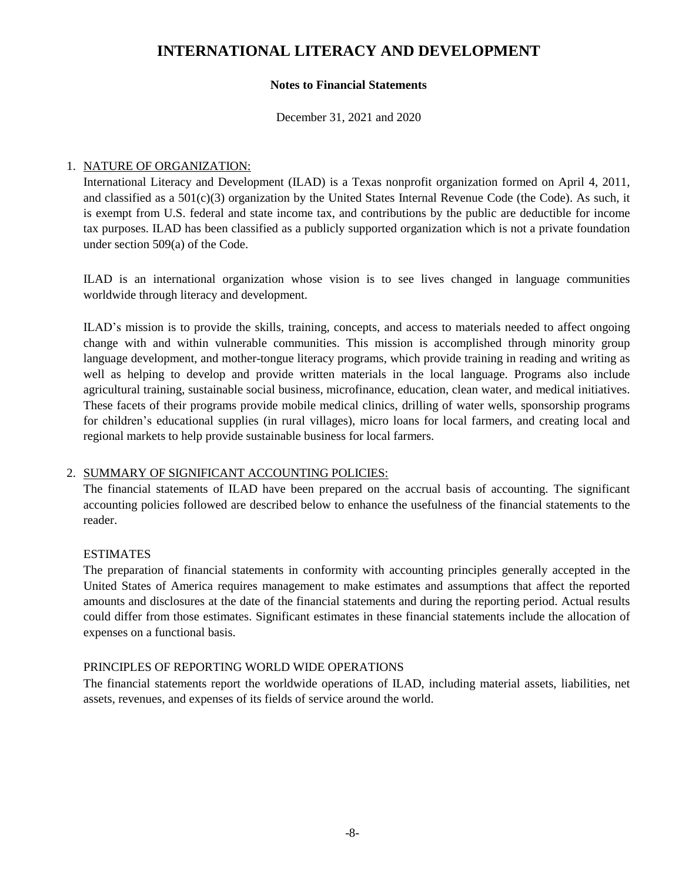#### **Notes to Financial Statements**

December 31, 2021 and 2020

#### 1. NATURE OF ORGANIZATION:

International Literacy and Development (ILAD) is a Texas nonprofit organization formed on April 4, 2011, and classified as a  $501(c)(3)$  organization by the United States Internal Revenue Code (the Code). As such, it is exempt from U.S. federal and state income tax, and contributions by the public are deductible for income tax purposes. ILAD has been classified as a publicly supported organization which is not a private foundation under section 509(a) of the Code.

ILAD is an international organization whose vision is to see lives changed in language communities worldwide through literacy and development.

ILAD's mission is to provide the skills, training, concepts, and access to materials needed to affect ongoing change with and within vulnerable communities. This mission is accomplished through minority group language development, and mother-tongue literacy programs, which provide training in reading and writing as well as helping to develop and provide written materials in the local language. Programs also include agricultural training, sustainable social business, microfinance, education, clean water, and medical initiatives. These facets of their programs provide mobile medical clinics, drilling of water wells, sponsorship programs for children's educational supplies (in rural villages), micro loans for local farmers, and creating local and regional markets to help provide sustainable business for local farmers.

## 2. SUMMARY OF SIGNIFICANT ACCOUNTING POLICIES:

The financial statements of ILAD have been prepared on the accrual basis of accounting. The significant accounting policies followed are described below to enhance the usefulness of the financial statements to the reader.

## ESTIMATES

The preparation of financial statements in conformity with accounting principles generally accepted in the United States of America requires management to make estimates and assumptions that affect the reported amounts and disclosures at the date of the financial statements and during the reporting period. Actual results could differ from those estimates. Significant estimates in these financial statements include the allocation of expenses on a functional basis.

#### PRINCIPLES OF REPORTING WORLD WIDE OPERATIONS

The financial statements report the worldwide operations of ILAD, including material assets, liabilities, net assets, revenues, and expenses of its fields of service around the world.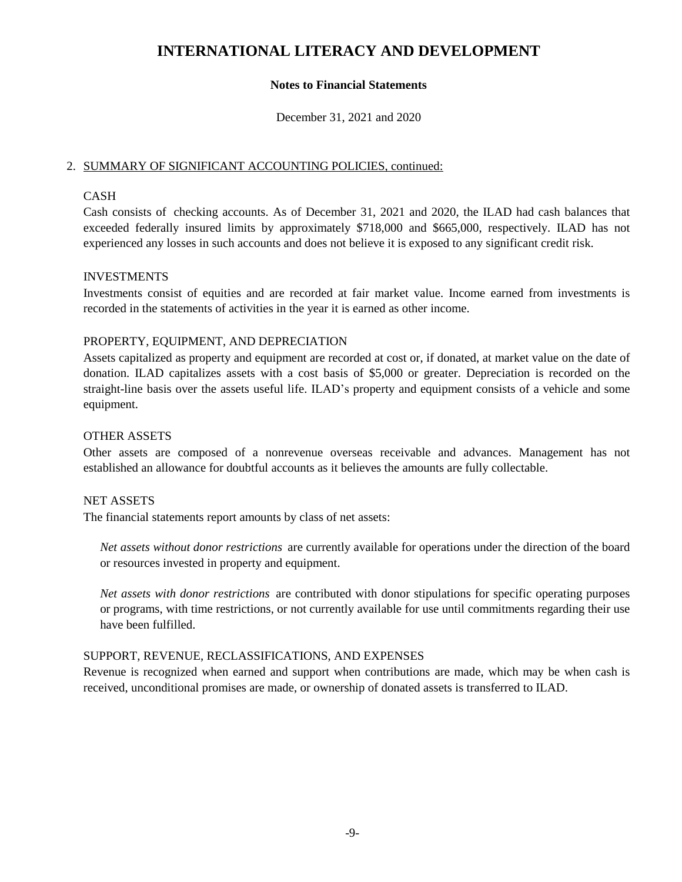#### **Notes to Financial Statements**

December 31, 2021 and 2020

#### 2. SUMMARY OF SIGNIFICANT ACCOUNTING POLICIES, continued:

## CASH

Cash consists of checking accounts. As of December 31, 2021 and 2020, the ILAD had cash balances that exceeded federally insured limits by approximately \$718,000 and \$665,000, respectively. ILAD has not experienced any losses in such accounts and does not believe it is exposed to any significant credit risk.

## INVESTMENTS

Investments consist of equities and are recorded at fair market value. Income earned from investments is recorded in the statements of activities in the year it is earned as other income.

#### PROPERTY, EQUIPMENT, AND DEPRECIATION

Assets capitalized as property and equipment are recorded at cost or, if donated, at market value on the date of donation. ILAD capitalizes assets with a cost basis of \$5,000 or greater. Depreciation is recorded on the straight-line basis over the assets useful life. ILAD's property and equipment consists of a vehicle and some equipment.

#### OTHER ASSETS

Other assets are composed of a nonrevenue overseas receivable and advances. Management has not established an allowance for doubtful accounts as it believes the amounts are fully collectable.

#### NET ASSETS

The financial statements report amounts by class of net assets:

*Net assets without donor restrictions* are currently available for operations under the direction of the board or resources invested in property and equipment.

*Net assets with donor restrictions* are contributed with donor stipulations for specific operating purposes or programs, with time restrictions, or not currently available for use until commitments regarding their use have been fulfilled.

## SUPPORT, REVENUE, RECLASSIFICATIONS, AND EXPENSES

Revenue is recognized when earned and support when contributions are made, which may be when cash is received, unconditional promises are made, or ownership of donated assets is transferred to ILAD.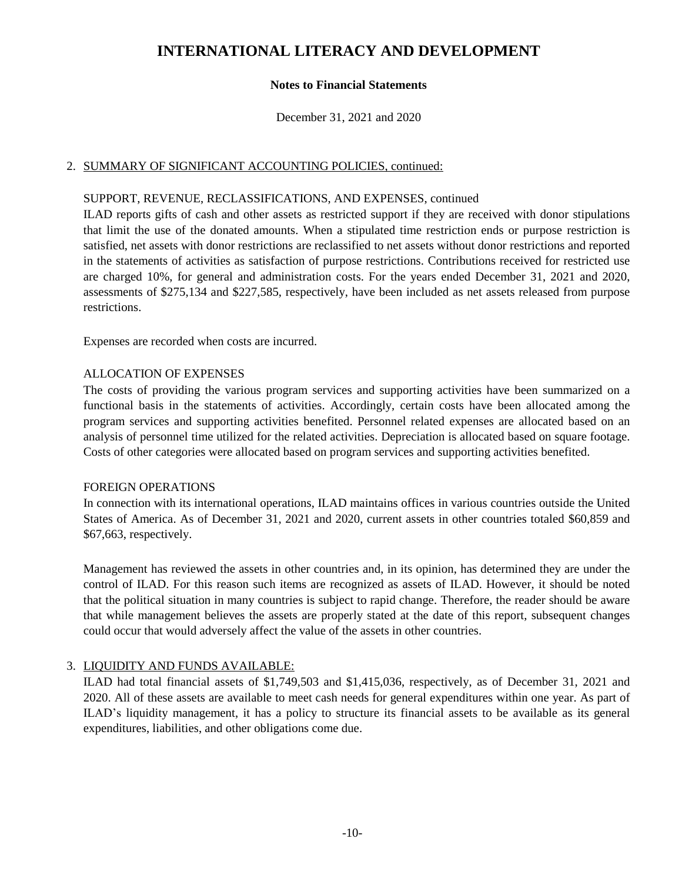#### **Notes to Financial Statements**

December 31, 2021 and 2020

#### 2. SUMMARY OF SIGNIFICANT ACCOUNTING POLICIES, continued:

#### SUPPORT, REVENUE, RECLASSIFICATIONS, AND EXPENSES, continued

ILAD reports gifts of cash and other assets as restricted support if they are received with donor stipulations that limit the use of the donated amounts. When a stipulated time restriction ends or purpose restriction is satisfied, net assets with donor restrictions are reclassified to net assets without donor restrictions and reported in the statements of activities as satisfaction of purpose restrictions. Contributions received for restricted use are charged 10%, for general and administration costs. For the years ended December 31, 2021 and 2020, assessments of \$275,134 and \$227,585, respectively, have been included as net assets released from purpose restrictions.

Expenses are recorded when costs are incurred.

#### ALLOCATION OF EXPENSES

The costs of providing the various program services and supporting activities have been summarized on a functional basis in the statements of activities. Accordingly, certain costs have been allocated among the program services and supporting activities benefited. Personnel related expenses are allocated based on an analysis of personnel time utilized for the related activities. Depreciation is allocated based on square footage. Costs of other categories were allocated based on program services and supporting activities benefited.

#### FOREIGN OPERATIONS

In connection with its international operations, ILAD maintains offices in various countries outside the United States of America. As of December 31, 2021 and 2020, current assets in other countries totaled \$60,859 and \$67,663, respectively.

Management has reviewed the assets in other countries and, in its opinion, has determined they are under the control of ILAD. For this reason such items are recognized as assets of ILAD. However, it should be noted that the political situation in many countries is subject to rapid change. Therefore, the reader should be aware that while management believes the assets are properly stated at the date of this report, subsequent changes could occur that would adversely affect the value of the assets in other countries.

## 3. LIQUIDITY AND FUNDS AVAILABLE:

ILAD had total financial assets of \$1,749,503 and \$1,415,036, respectively, as of December 31, 2021 and 2020. All of these assets are available to meet cash needs for general expenditures within one year. As part of ILAD's liquidity management, it has a policy to structure its financial assets to be available as its general expenditures, liabilities, and other obligations come due.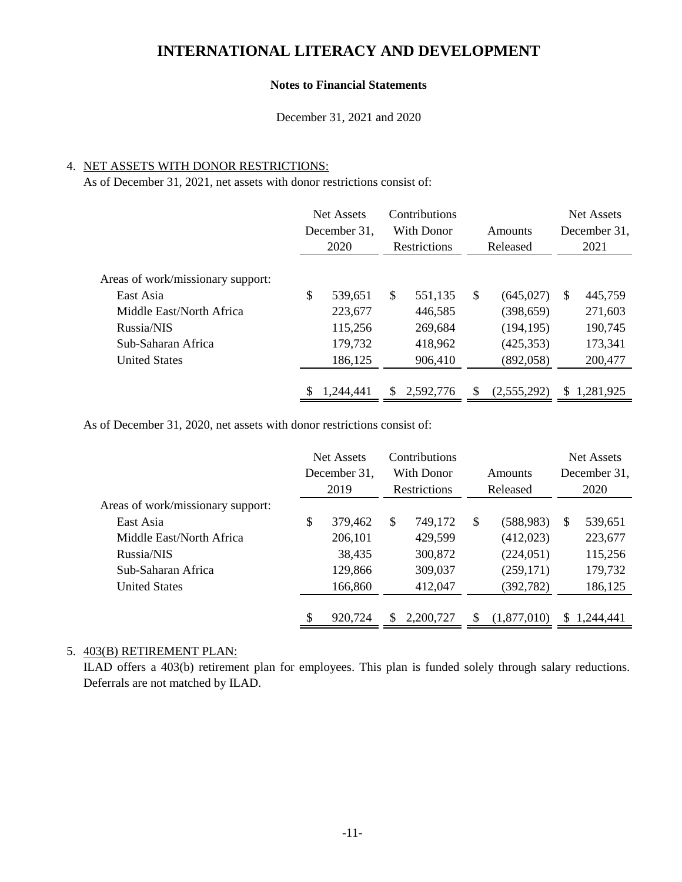#### **Notes to Financial Statements**

December 31, 2021 and 2020

#### 4. NET ASSETS WITH DONOR RESTRICTIONS:

As of December 31, 2021, net assets with donor restrictions consist of:

| Net Assets<br>December 31.<br>2020 |         | Contributions<br>With Donor |         | Amounts<br>Released       |            | <b>Net Assets</b><br>December 31.<br>2021 |           |
|------------------------------------|---------|-----------------------------|---------|---------------------------|------------|-------------------------------------------|-----------|
|                                    |         |                             |         |                           |            |                                           |           |
| \$                                 | 539,651 | $\mathbb{S}$                | 551,135 | \$                        | (645, 027) | <sup>\$</sup>                             | 445,759   |
|                                    | 223,677 |                             | 446,585 |                           | (398, 659) |                                           | 271,603   |
|                                    | 115,256 |                             | 269,684 |                           | (194, 195) |                                           | 190,745   |
|                                    | 179,732 |                             | 418,962 |                           | (425, 353) |                                           | 173,341   |
|                                    | 186,125 |                             | 906,410 |                           | (892,058)  |                                           | 200,477   |
|                                    |         |                             |         |                           |            |                                           | 1,281,925 |
|                                    |         | 1,244,441                   | \$      | Restrictions<br>2,592,776 | S          | (2,555,292)                               | \$        |

As of December 31, 2020, net assets with donor restrictions consist of:

|                                   |                      | Net Assets | Contributions |              |    |                     |   | <b>Net Assets</b> |
|-----------------------------------|----------------------|------------|---------------|--------------|----|---------------------|---|-------------------|
|                                   | December 31,<br>2019 |            | With Donor    |              |    | Amounts<br>Released |   | December 31,      |
|                                   |                      |            |               | Restrictions |    |                     |   | 2020              |
| Areas of work/missionary support: |                      |            |               |              |    |                     |   |                   |
| East Asia                         | \$                   | 379,462    | \$.           | 749,172      | \$ | (588, 983)          | S | 539,651           |
| Middle East/North Africa          |                      | 206,101    |               | 429,599      |    | (412,023)           |   | 223,677           |
| Russia/NIS                        |                      | 38,435     |               | 300,872      |    | (224, 051)          |   | 115,256           |
| Sub-Saharan Africa                |                      | 129,866    |               | 309,037      |    | (259, 171)          |   | 179,732           |
| <b>United States</b>              |                      | 166,860    |               | 412,047      |    | (392, 782)          |   | 186,125           |
|                                   |                      |            |               |              |    |                     |   |                   |
|                                   | \$                   | 920,724    |               | 2,200,727    | S  | (1,877,010)         | S | 1,244,441         |

#### 5. 403(B) RETIREMENT PLAN:

ILAD offers a 403(b) retirement plan for employees. This plan is funded solely through salary reductions. Deferrals are not matched by ILAD.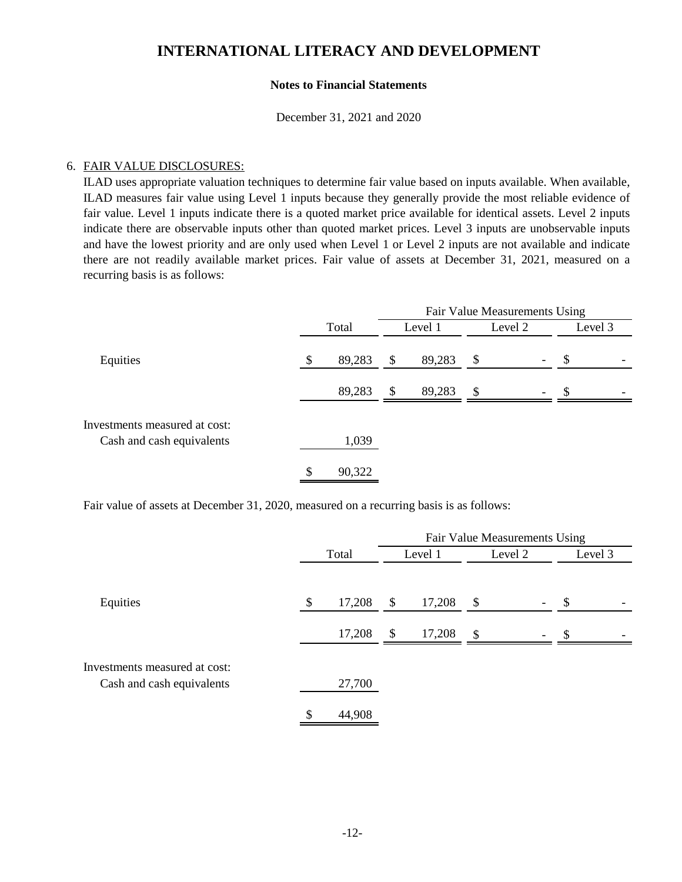#### **Notes to Financial Statements**

December 31, 2021 and 2020

#### 6. FAIR VALUE DISCLOSURES:

ILAD uses appropriate valuation techniques to determine fair value based on inputs available. When available, ILAD measures fair value using Level 1 inputs because they generally provide the most reliable evidence of fair value. Level 1 inputs indicate there is a quoted market price available for identical assets. Level 2 inputs indicate there are observable inputs other than quoted market prices. Level 3 inputs are unobservable inputs and have the lowest priority and are only used when Level 1 or Level 2 inputs are not available and indicate there are not readily available market prices. Fair value of assets at December 31, 2021, measured on a recurring basis is as follows:

|                                                            |              | Fair Value Measurements Using |         |               |                          |                           |  |  |  |
|------------------------------------------------------------|--------------|-------------------------------|---------|---------------|--------------------------|---------------------------|--|--|--|
|                                                            | Total        |                               | Level 1 | Level 2       |                          | Level 3                   |  |  |  |
| Equities                                                   | \$<br>89,283 | \$                            | 89,283  | \$            | $\overline{\phantom{a}}$ | $\boldsymbol{\mathsf{S}}$ |  |  |  |
|                                                            | 89,283       | $\frac{1}{2}$                 | 89,283  | $\mathcal{S}$ | $\overline{\phantom{a}}$ | -S                        |  |  |  |
| Investments measured at cost:<br>Cash and cash equivalents | 1,039        |                               |         |               |                          |                           |  |  |  |
|                                                            | \$<br>90,322 |                               |         |               |                          |                           |  |  |  |

Fair value of assets at December 31, 2020, measured on a recurring basis is as follows:

|                                                            |       |        | Fair Value Measurements Using |        |                           |                          |         |  |  |  |
|------------------------------------------------------------|-------|--------|-------------------------------|--------|---------------------------|--------------------------|---------|--|--|--|
|                                                            | Total |        | Level 1                       |        | Level 2                   |                          | Level 3 |  |  |  |
| Equities                                                   | \$    | 17,208 | \$                            | 17,208 | $\boldsymbol{\mathsf{S}}$ | $\overline{\phantom{a}}$ | \$      |  |  |  |
|                                                            |       | 17,208 | $\mathbb{S}$                  | 17,208 | $\mathcal{S}$             | $\overline{\phantom{a}}$ | \$.     |  |  |  |
| Investments measured at cost:<br>Cash and cash equivalents |       | 27,700 |                               |        |                           |                          |         |  |  |  |
|                                                            | \$    | 44,908 |                               |        |                           |                          |         |  |  |  |